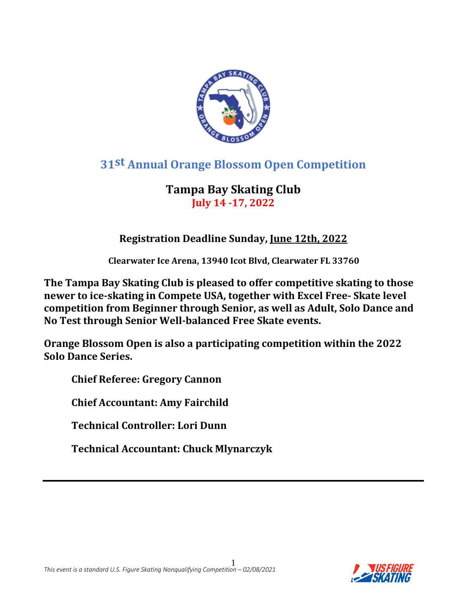

## **31st Annual Orange Blossom Open Competition**

## **Tampa Bay Skating Club July 14 -17, 2022**

## **Registration Deadline Sunday, June 12th, 2022**

 **Clearwater Ice Arena, 13940 Icot Blvd, Clearwater FL 33760**

**The Tampa Bay Skating Club is pleased to offer competitive skating to those newer to ice-skating in Compete USA, together with Excel Free- Skate level competition from Beginner through Senior, as well as Adult, Solo Dance and No Test through Senior Well-balanced Free Skate events.** 

**Orange Blossom Open is also a participating competition within the 2022 Solo Dance Series.**

**Chief Referee: Gregory Cannon**

**Chief Accountant: Amy Fairchild**

**Technical Controller: Lori Dunn**

**Technical Accountant: Chuck Mlynarczyk**

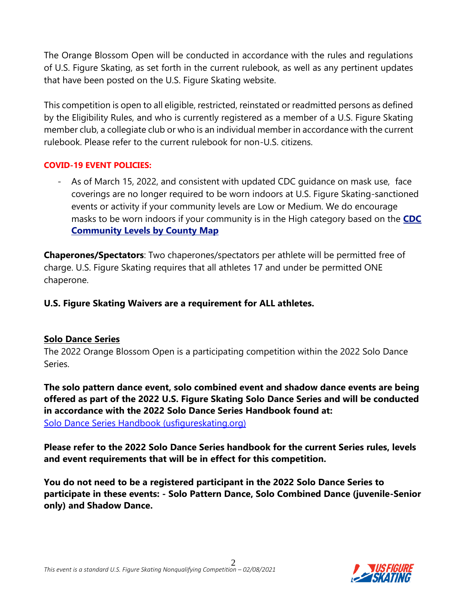The Orange Blossom Open will be conducted in accordance with the rules and regulations of U.S. Figure Skating, as set forth in the current rulebook, as well as any pertinent updates that have been posted on the U.S. Figure Skating website.

This competition is open to all eligible, restricted, reinstated or readmitted persons as defined by the Eligibility Rules, and who is currently registered as a member of a U.S. Figure Skating member club, a collegiate club or who is an individual member in accordance with the current rulebook. Please refer to the current rulebook for non-U.S. citizens.

#### **COVID-19 EVENT POLICIES:**

- As of March 15, 2022, and consistent with updated CDC guidance on mask use, face coverings are no longer required to be worn indoors at U.S. Figure Skating-sanctioned events or activity if your community levels are Low or Medium. We do encourage masks to be worn indoors if your community is in the High category based on the **[CDC](https://www.cdc.gov/coronavirus/2019-ncov/your-health/covid-by-county.html?CDC_AA_refVal=https%3A%2F%2Fwww.cdc.gov%2Fcoronavirus%2F2019-ncov%2Fscience%2Fcommunity-levels-county-map.html)  [Community Levels by County Map](https://www.cdc.gov/coronavirus/2019-ncov/your-health/covid-by-county.html?CDC_AA_refVal=https%3A%2F%2Fwww.cdc.gov%2Fcoronavirus%2F2019-ncov%2Fscience%2Fcommunity-levels-county-map.html)**

**Chaperones/Spectators**: Two chaperones/spectators per athlete will be permitted free of charge. U.S. Figure Skating requires that all athletes 17 and under be permitted ONE chaperone.

#### **U.S. Figure Skating Waivers are a requirement for ALL athletes.**

#### **Solo Dance Series**

The 2022 Orange Blossom Open is a participating competition within the 2022 Solo Dance Series.

**The solo pattern dance event, solo combined event and shadow dance events are being offered as part of the 2022 U.S. Figure Skating Solo Dance Series and will be conducted in accordance with the 2022 Solo Dance Series Handbook found at:**

[Solo Dance Series Handbook \(usfigureskating.org\)](https://www.usfigureskating.org/system/files/2022%20SDS%20Handbook.pdf)

**Please refer to the 2022 Solo Dance Series handbook for the current Series rules, levels and event requirements that will be in effect for this competition.**

**You do not need to be a registered participant in the 2022 Solo Dance Series to participate in these events: - Solo Pattern Dance, Solo Combined Dance (juvenile-Senior only) and Shadow Dance.**

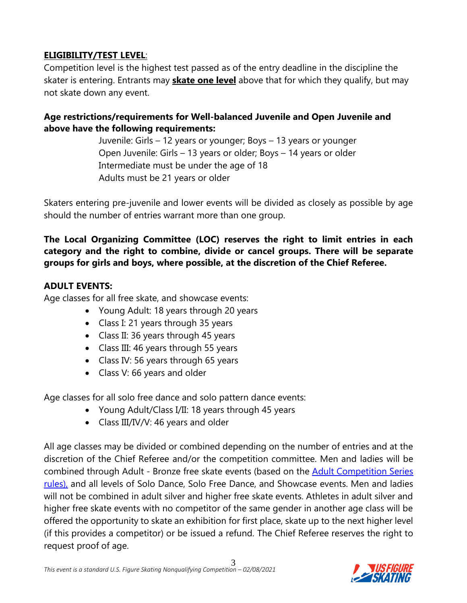#### **ELIGIBILITY/TEST LEVEL**:

Competition level is the highest test passed as of the entry deadline in the discipline the skater is entering. Entrants may **skate one level** above that for which they qualify, but may not skate down any event.

#### **Age restrictions/requirements for Well-balanced Juvenile and Open Juvenile and above have the following requirements:**

Juvenile: Girls – 12 years or younger; Boys – 13 years or younger Open Juvenile: Girls – 13 years or older; Boys – 14 years or older Intermediate must be under the age of 18 Adults must be 21 years or older

Skaters entering pre-juvenile and lower events will be divided as closely as possible by age should the number of entries warrant more than one group.

#### **The Local Organizing Committee (LOC) reserves the right to limit entries in each category and the right to combine, divide or cancel groups. There will be separate groups for girls and boys, where possible, at the discretion of the Chief Referee.**

#### **ADULT EVENTS:**

Age classes for all free skate, and showcase events:

- Young Adult: 18 years through 20 years
- Class I: 21 years through 35 years
- Class II: 36 years through 45 years
- Class III: 46 years through 55 years
- Class IV: 56 years through 65 years
- Class V: 66 years and older

Age classes for all solo free dance and solo pattern dance events:

- Young Adult/Class I/II: 18 years through 45 years
- Class III/IV/V: 46 years and older

All age classes may be divided or combined depending on the number of entries and at the discretion of the Chief Referee and/or the competition committee. Men and ladies will be combined through Adult - Bronze free skate events (based on the [Adult Competition Series](https://www.usfigureskating.org/skate/skating-opportunities/adult-skating)  [rules\),](https://www.usfigureskating.org/skate/skating-opportunities/adult-skating) and all levels of Solo Dance, Solo Free Dance, and Showcase events. Men and ladies will not be combined in adult silver and higher free skate events. Athletes in adult silver and higher free skate events with no competitor of the same gender in another age class will be offered the opportunity to skate an exhibition for first place, skate up to the next higher level (if this provides a competitor) or be issued a refund. The Chief Referee reserves the right to request proof of age.

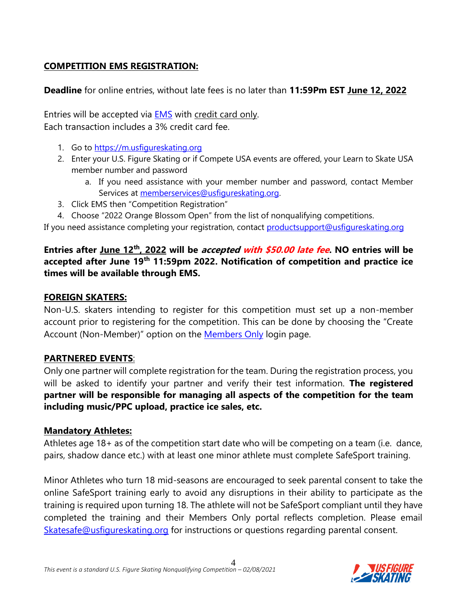#### **COMPETITION EMS REGISTRATION:**

**Deadline** for online entries, without late fees is no later than **11:59Pm EST June 12, 2022**

Entries will be accepted via [EMS](https://m.usfigureskating.org/competition/30386) with credit card only. Each transaction includes a 3% credit card fee.

- 1. Go to https://m.usfigureskating.org
- 2. Enter your U.S. Figure Skating or if Compete USA events are offered, your Learn to Skate USA member number and password
	- a. If you need assistance with your member number and password, contact Member Services at [memberservices@usfigureskating.org.](mailto:memberservices@usfigureskating.org)
- 3. Click EMS then "Competition Registration"
- 4. Choose "2022 Orange Blossom Open" from the list of nonqualifying competitions.

If you need assistance completing your registration, contact [productsupport@usfigureskating.org](mailto:productsupport@usfigureskating.org)

#### **Entries after June 12th, 2022 will be accepted with \$50.00 late fee. NO entries will be accepted after June 19th 11:59pm 2022. Notification of competition and practice ice times will be available through EMS.**

#### **FOREIGN SKATERS:**

Non-U.S. skaters intending to register for this competition must set up a non-member account prior to registering for the competition. This can be done by choosing the "Create Account (Non-Member)" option on the [Members Only](https://m.usfigureskating.org/account/login/) login page.

#### **PARTNERED EVENTS**:

Only one partner will complete registration for the team. During the registration process, you will be asked to identify your partner and verify their test information. **The registered partner will be responsible for managing all aspects of the competition for the team including music/PPC upload, practice ice sales, etc.**

#### **Mandatory Athletes:**

Athletes age 18+ as of the competition start date who will be competing on a team (i.e. dance, pairs, shadow dance etc.) with at least one minor athlete must complete SafeSport training.

Minor Athletes who turn 18 mid-seasons are encouraged to seek parental consent to take the online SafeSport training early to avoid any disruptions in their ability to participate as the training is required upon turning 18. The athlete will not be SafeSport compliant until they have completed the training and their Members Only portal reflects completion. Please email [Skatesafe@usfigureskating.org](mailto:Skatesafe@usfigureskating.org) for instructions or questions regarding parental consent.

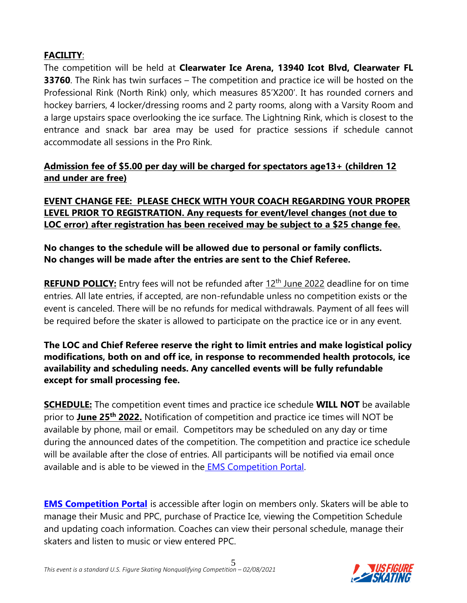#### **FACILITY**:

The competition will be held at **Clearwater Ice Arena, 13940 Icot Blvd, Clearwater FL 33760**. The Rink has twin surfaces – The competition and practice ice will be hosted on the Professional Rink (North Rink) only, which measures 85'X200'. It has rounded corners and hockey barriers, 4 locker/dressing rooms and 2 party rooms, along with a Varsity Room and a large upstairs space overlooking the ice surface. The Lightning Rink, which is closest to the entrance and snack bar area may be used for practice sessions if schedule cannot accommodate all sessions in the Pro Rink.

#### **Admission fee of \$5.00 per day will be charged for spectators age13+ (children 12 and under are free)**

**EVENT CHANGE FEE: PLEASE CHECK WITH YOUR COACH REGARDING YOUR PROPER LEVEL PRIOR TO REGISTRATION. Any requests for event/level changes (not due to LOC error) after registration has been received may be subject to a \$25 change fee.**

#### **No changes to the schedule will be allowed due to personal or family conflicts. No changes will be made after the entries are sent to the Chief Referee.**

**REFUND POLICY:** Entry fees will not be refunded after 12<sup>th</sup> June 2022 deadline for on time entries. All late entries, if accepted, are non-refundable unless no competition exists or the event is canceled. There will be no refunds for medical withdrawals. Payment of all fees will be required before the skater is allowed to participate on the practice ice or in any event.

#### **The LOC and Chief Referee reserve the right to limit entries and make logistical policy modifications, both on and off ice, in response to recommended health protocols, ice availability and scheduling needs. Any cancelled events will be fully refundable except for small processing fee.**

**SCHEDULE:** The competition event times and practice ice schedule **WILL NOT** be available prior to **June 25 th 2022.** Notification of competition and practice ice times will NOT be available by phone, mail or email.Competitors may be scheduled on any day or time during the announced dates of the competition. The competition and practice ice schedule will be available after the close of entries. All participants will be notified via email once available and is able to be viewed in the [EMS Competition Portal.](https://m.usfigureskating.org/competition/30386)

**[EMS Competition Portal](https://m.usfigureskating.org/competition/30386)** is accessible after login on members only. Skaters will be able to manage their Music and PPC, purchase of Practice Ice, viewing the Competition Schedule and updating coach information. Coaches can view their personal schedule, manage their skaters and listen to music or view entered PPC.

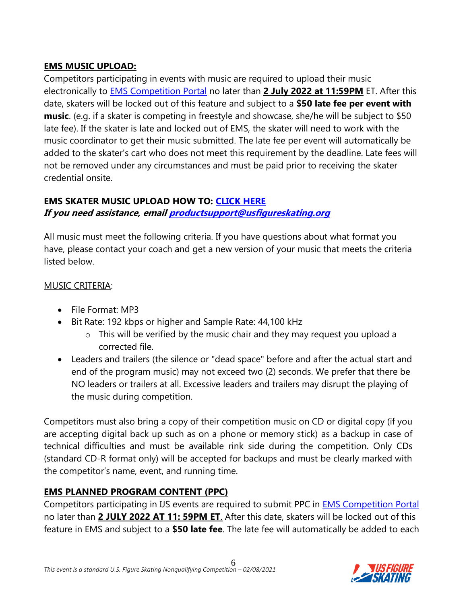#### **EMS MUSIC UPLOAD:**

Competitors participating in events with music are required to upload their music electronically to [EMS Competition Portal](https://m.usfigureskating.org/competition/30386) no later than **2 July 2022 at 11:59PM** ET. After this date, skaters will be locked out of this feature and subject to a **\$50 late fee per event with music**. (e.g. if a skater is competing in freestyle and showcase, she/he will be subject to \$50 late fee). If the skater is late and locked out of EMS, the skater will need to work with the music coordinator to get their music submitted. The late fee per event will automatically be added to the skater's cart who does not meet this requirement by the deadline. Late fees will not be removed under any circumstances and must be paid prior to receiving the skater credential onsite.

# **EMS SKATER MUSIC UPLOAD HOW TO: [CLICK HERE](https://public.3.basecamp.com/p/ycj6D89r1GruJVv8oTSWXUqW)**

**If you need assistance, emai[l productsupport@usfigureskating.org](mailto:productsupport@usfigureskating.org)**

All music must meet the following criteria. If you have questions about what format you have, please contact your coach and get a new version of your music that meets the criteria listed below.

#### MUSIC CRITERIA:

- File Format: MP3
- Bit Rate: 192 kbps or higher and Sample Rate: 44,100 kHz
	- o This will be verified by the music chair and they may request you upload a corrected file.
- Leaders and trailers (the silence or "dead space" before and after the actual start and end of the program music) may not exceed two (2) seconds. We prefer that there be NO leaders or trailers at all. Excessive leaders and trailers may disrupt the playing of the music during competition.

Competitors must also bring a copy of their competition music on CD or digital copy (if you are accepting digital back up such as on a phone or memory stick) as a backup in case of technical difficulties and must be available rink side during the competition. Only CDs (standard CD-R format only) will be accepted for backups and must be clearly marked with the competitor's name, event, and running time.

#### **EMS PLANNED PROGRAM CONTENT (PPC)**

Competitors participating in IJS events are required to submit PPC in **EMS [Competition Portal](https://m.usfigureskating.org/competition/30386)** no later than **2 JULY 2022 AT 11: 59PM ET**. After this date, skaters will be locked out of this feature in EMS and subject to a **\$50 late fee**. The late fee will automatically be added to each

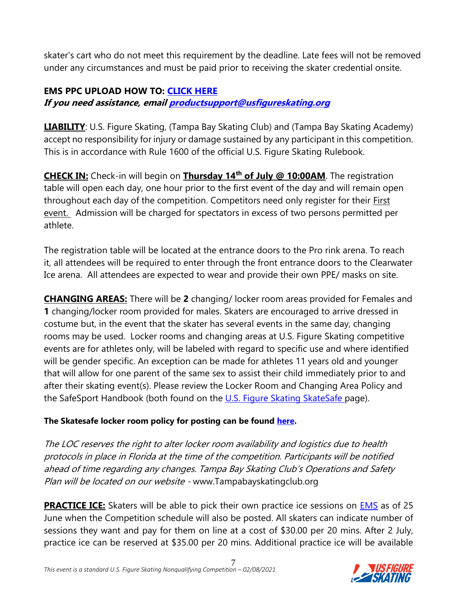skater's cart who do not meet this requirement by the deadline. Late fees will not be removed under any circumstances and must be paid prior to receiving the skater credential onsite.

#### **EMS PPC UPLOAD HOW TO: [CLICK HERE](https://public.3.basecamp.com/p/bJNALQ6nPYrJUH2YKAjQ2tMB)**

**If you need assistance, emai[l productsupport@usfigureskating.org](mailto:productsupport@usfigureskating.org)**

**LIABILITY**: U.S. Figure Skating, (Tampa Bay Skating Club) and (Tampa Bay Skating Academy) accept no responsibility for injury or damage sustained by any participant in this competition. This is in accordance with Rule 1600 of the official U.S. Figure Skating Rulebook.

**CHECK IN:** Check-in will begin on **Thursday 14th of July @ 10:00AM**. The registration table will open each day, one hour prior to the first event of the day and will remain open throughout each day of the competition. Competitors need only register for their First event. Admission will be charged for spectators in excess of two persons permitted per athlete.

The registration table will be located at the entrance doors to the Pro rink arena. To reach it, all attendees will be required to enter through the front entrance doors to the Clearwater Ice arena. All attendees are expected to wear and provide their own PPE/ masks on site.

**CHANGING AREAS:** There will be **2** changing/ locker room areas provided for Females and **1** changing/locker room provided for males. Skaters are encouraged to arrive dressed in costume but, in the event that the skater has several events in the same day, changing rooms may be used. Locker rooms and changing areas at U.S. Figure Skating competitive events are for athletes only, will be labeled with regard to specific use and where identified will be gender specific. An exception can be made for athletes 11 years old and younger that will allow for one parent of the same sex to assist their child immediately prior to and after their skating event(s). Please review the Locker Room and Changing Area Policy and the SafeSport Handbook (both found on the [U.S. Figure Skating](https://www.usfigureskating.org/safesport) SkateSafe page).

#### **The Skatesafe locker room policy for posting can be found [here.](https://public.3.basecamp.com/p/fC6sDqwCyoDHnHRspubvSmAs)**

The LOC reserves the right to alter locker room availability and logistics due to health protocols in place in Florida at the time of the competition. Participants will be notified ahead of time regarding any changes. Tampa Bay Skating Club's Operations and Safety Plan will be located on our website - www.Tampabayskatingclub.org

**PRACTICE ICE:** Skaters will be able to pick their own practice ice sessions on **EMS** as of 25 June when the Competition schedule will also be posted. All skaters can indicate number of sessions they want and pay for them on line at a cost of \$30.00 per 20 mins. After 2 July, practice ice can be reserved at \$35.00 per 20 mins. Additional practice ice will be available

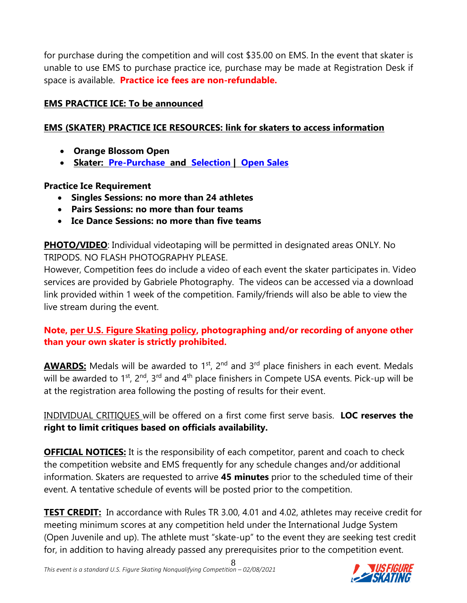for purchase during the competition and will cost \$35.00 on EMS. In the event that skater is unable to use EMS to purchase practice ice, purchase may be made at Registration Desk if space is available. **Practice ice fees are non-refundable.**

#### **EMS PRACTICE ICE: To be announced**

#### **EMS (SKATER) PRACTICE ICE RESOURCES: link for skaters to access information**

- **Orange Blossom Open**
- **Skater: [Pre-Purchase](https://public.3.basecamp.com/p/rqAXpFKf535Tp76yZk2dcL1b) and [Selection](https://public.3.basecamp.com/p/KbtNr6DhEX1Rpf1ePW8LeUB6) | [Open Sales](https://public.3.basecamp.com/p/ZFJN9NPbT99REMpExBTRupYX)**

#### **Practice Ice Requirement**

- **Singles Sessions: no more than 24 athletes**
- **Pairs Sessions: no more than four teams**
- **Ice Dance Sessions: no more than five teams**

**PHOTO/VIDEO**: Individual videotaping will be permitted in designated areas ONLY. No TRIPODS. NO FLASH PHOTOGRAPHY PLEASE.

However, Competition fees do include a video of each event the skater participates in. Video services are provided by Gabriele Photography. The videos can be accessed via a download link provided within 1 week of the competition. Family/friends will also be able to view the live stream during the event.

#### **Note, [per U.S. Figure Skating policy,](https://public.3.basecamp.com/p/EsWCNMRdrZ3qJs6LsB9RM9Vf) photographing and/or recording of anyone other than your own skater is strictly prohibited.**

**AWARDS:** Medals will be awarded to 1<sup>st</sup>, 2<sup>nd</sup> and 3<sup>rd</sup> place finishers in each event. Medals will be awarded to  $1^{st}$ ,  $2^{nd}$ ,  $3^{rd}$  and  $4^{th}$  place finishers in Compete USA events. Pick-up will be at the registration area following the posting of results for their event.

INDIVIDUAL CRITIQUES will be offered on a first come first serve basis. **LOC reserves the right to limit critiques based on officials availability.**

**OFFICIAL NOTICES:** It is the responsibility of each competitor, parent and coach to check the competition website and EMS frequently for any schedule changes and/or additional information. Skaters are requested to arrive **45 minutes** prior to the scheduled time of their event. A tentative schedule of events will be posted prior to the competition.

**TEST CREDIT:** In accordance with Rules TR 3.00, 4.01 and 4.02, athletes may receive credit for meeting minimum scores at any competition held under the International Judge System (Open Juvenile and up). The athlete must "skate-up" to the event they are seeking test credit for, in addition to having already passed any prerequisites prior to the competition event.

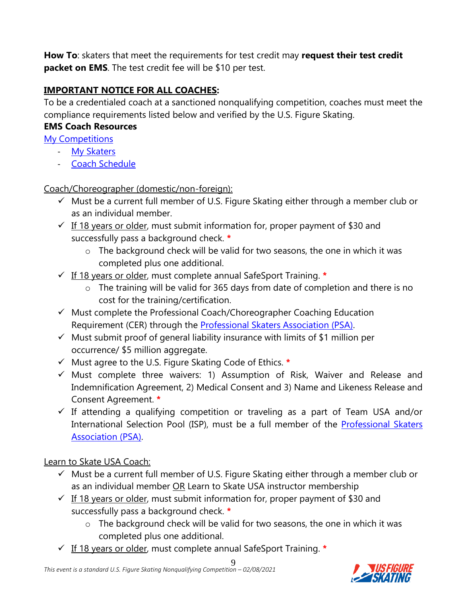**How To**: skaters that meet the requirements for test credit may **request their test credit packet on EMS**. The test credit fee will be \$10 per test.

### **IMPORTANT NOTICE FOR ALL COACHES:**

To be a credentialed coach at a sanctioned nonqualifying competition, coaches must meet the compliance requirements listed below and verified by the U.S. Figure Skating.

#### **EMS Coach Resources**

[My Competitions](https://public.3.basecamp.com/p/rXE1uyVQqyg3xA7hzXAjpudM)

- [My Skaters](https://public.3.basecamp.com/p/w79NH9tSWWwJ17EjeUhdpy1V)
- [Coach Schedule](https://public.3.basecamp.com/p/3UXnPmqVfktsb1qEwg6AHR2h)

Coach/Choreographer (domestic/non-foreign):

- ✓ Must be a current full member of U.S. Figure Skating either through a member club or as an individual member.
- $\checkmark$  If 18 years or older, must submit information for, proper payment of \$30 and successfully pass a background check. **\***
	- $\circ$  The background check will be valid for two seasons, the one in which it was completed plus one additional.
- ✓ If 18 years or older, must complete annual SafeSport Training. **\***
	- o The training will be valid for 365 days from date of completion and there is no cost for the training/certification.
- $\checkmark$  Must complete the Professional Coach/Choreographer Coaching Education Requirement (CER) through the [Professional Skaters Association \(PSA\).](https://skatepsa.com/compliance)
- $\checkmark$  Must submit proof of general liability insurance with limits of \$1 million per occurrence/ \$5 million aggregate.
- ✓ Must agree to the U.S. Figure Skating Code of Ethics. **\***
- $\checkmark$  Must complete three waivers: 1) Assumption of Risk, Waiver and Release and Indemnification Agreement, 2) Medical Consent and 3) Name and Likeness Release and Consent Agreement. **\***
- $\checkmark$  If attending a qualifying competition or traveling as a part of Team USA and/or International Selection Pool (ISP), must be a full member of the Professional Skaters [Association \(PSA\).](https://skatepsa.com/membership)

Learn to Skate USA Coach:

- $\checkmark$  Must be a current full member of U.S. Figure Skating either through a member club or as an individual member OR Learn to Skate USA instructor membership
- $\checkmark$  If 18 years or older, must submit information for, proper payment of \$30 and successfully pass a background check. **\***
	- o The background check will be valid for two seasons, the one in which it was completed plus one additional.
- ✓ If 18 years or older, must complete annual SafeSport Training. **\***

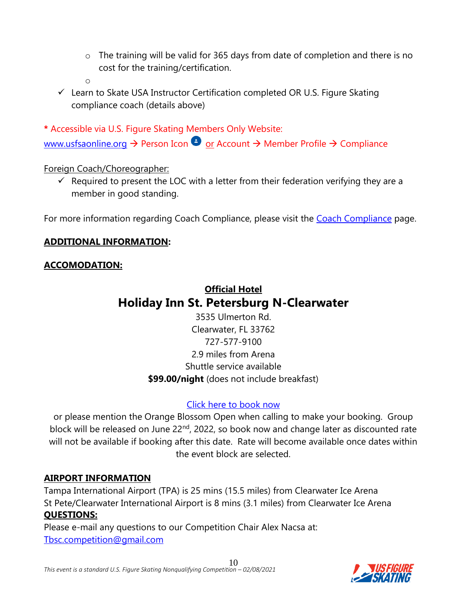- o The training will be valid for 365 days from date of completion and there is no cost for the training/certification.
- o
- $\checkmark$  Learn to Skate USA Instructor Certification completed OR U.S. Figure Skating compliance coach (details above)

**\*** Accessible via U.S. Figure Skating Members Only Website: [www.usfsaonline.org](http://www.usfsaonline.org/)  $\rightarrow$  Person Icon  $\bullet$  or Account  $\rightarrow$  Member Profile  $\rightarrow$  Compliance

#### Foreign Coach/Choreographer:

 $\checkmark$  Required to present the LOC with a letter from their federation verifying they are a member in good standing.

For more information regarding [Coach Compliance](https://www.usfigureskating.org/support/coach/coach-compliance), please visit the Coach Compliance page.

#### **ADDITIONAL INFORMATION:**

#### **ACCOMODATION:**

## **Official Hotel Holiday Inn St. Petersburg N-Clearwater**

3535 Ulmerton Rd. Clearwater, FL 33762 727-577-9100 2.9 miles from Arena Shuttle service available **\$99.00/night** (does not include breakfast)

#### [Click here to book now](https://www.holidayinn.com/redirect?path=hd&brandCode=HI&localeCode=en®ionCode=1&hotelCode=clwap&_PMID=99801505&GPC=obc&cn=no&viewfullsite=true)

or please mention the Orange Blossom Open when calling to make your booking. Group block will be released on June 22<sup>nd</sup>, 2022, so book now and change later as discounted rate will not be available if booking after this date. Rate will become available once dates within the event block are selected.

#### **AIRPORT INFORMATION**

Tampa International Airport (TPA) is 25 mins (15.5 miles) from Clearwater Ice Arena St Pete/Clearwater International Airport is 8 mins (3.1 miles) from Clearwater Ice Arena **QUESTIONS:**

Please e-mail any questions to our Competition Chair Alex Nacsa at: [Tbsc.competition@gmail.com](mailto:Tbsc.competition@gmail.com)

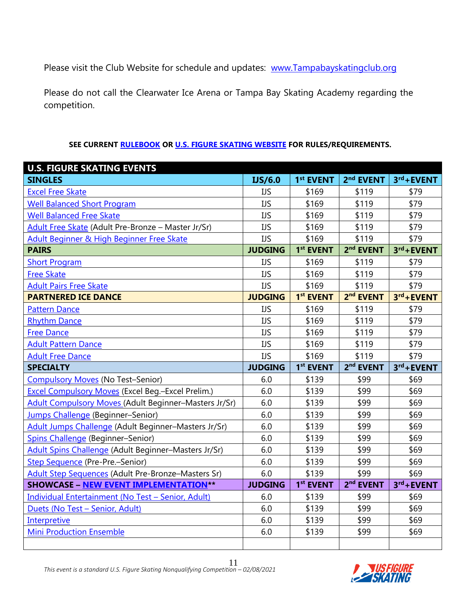Please visit the Club Website for schedule and updates: [www.Tampabayskatingclub.org](http://www.tampabayskatingclub.org/)

Please do not call the Clearwater Ice Arena or Tampa Bay Skating Academy regarding the competition.

#### **SEE CURRENT [RULEBOOK](https://www.usfigureskating.org/about/rules) OR [U.S. FIGURE SKATING WEBSITE](http://www.usfsaonline.org/) FOR RULES/REQUIREMENTS.**

| <b>U.S. FIGURE SKATING EVENTS</b>                            |                |                       |                       |               |
|--------------------------------------------------------------|----------------|-----------------------|-----------------------|---------------|
| <b>SINGLES</b>                                               | IJS/6.0        | 1 <sup>st</sup> EVENT | 2 <sup>nd</sup> EVENT | $3rd +$ EVENT |
| <b>Excel Free Skate</b>                                      | IJS            | \$169                 | \$119                 | \$79          |
| <b>Well Balanced Short Program</b>                           | <b>IJS</b>     | \$169                 | \$119                 | \$79          |
| <b>Well Balanced Free Skate</b>                              | <b>IJS</b>     | \$169                 | \$119                 | \$79          |
| Adult Free Skate (Adult Pre-Bronze - Master Jr/Sr)           | <b>IJS</b>     | \$169                 | \$119                 | \$79          |
| Adult Beginner & High Beginner Free Skate                    | <b>IJS</b>     | \$169                 | \$119                 | \$79          |
| <b>PAIRS</b>                                                 | <b>JUDGING</b> | 1 <sup>st</sup> EVENT | 2 <sup>nd</sup> EVENT | 3rd+EVENT     |
| <b>Short Program</b>                                         | <b>IJS</b>     | \$169                 | \$119                 | \$79          |
| <b>Free Skate</b>                                            | <b>IJS</b>     | \$169                 | \$119                 | \$79          |
| <b>Adult Pairs Free Skate</b>                                | <b>IJS</b>     | \$169                 | \$119                 | \$79          |
| <b>PARTNERED ICE DANCE</b>                                   | <b>JUDGING</b> | 1 <sup>st</sup> EVENT | 2 <sup>nd</sup> EVENT | $3rd +$ EVENT |
| <b>Pattern Dance</b>                                         | <b>IJS</b>     | \$169                 | \$119                 | \$79          |
| <b>Rhythm Dance</b>                                          | <b>IJS</b>     | \$169                 | \$119                 | \$79          |
| <b>Free Dance</b>                                            | <b>IJS</b>     | \$169                 | \$119                 | \$79          |
| <b>Adult Pattern Dance</b>                                   | <b>IJS</b>     | \$169                 | \$119                 | \$79          |
| <b>Adult Free Dance</b>                                      | <b>IJS</b>     | \$169                 | \$119                 | \$79          |
| <b>SPECIALTY</b>                                             | <b>JUDGING</b> | 1 <sup>st</sup> EVENT | 2 <sup>nd</sup> EVENT | $3rd +$ EVENT |
| <b>Compulsory Moves (No Test-Senior)</b>                     | 6.0            | \$139                 | \$99                  | \$69          |
| <b>Excel Compulsory Moves (Excel Beg.-Excel Prelim.)</b>     | 6.0            | \$139                 | \$99                  | \$69          |
| <b>Adult Compulsory Moves (Adult Beginner-Masters Jr/Sr)</b> | 6.0            | \$139                 | \$99                  | \$69          |
| Jumps Challenge (Beginner-Senior)                            | 6.0            | \$139                 | \$99                  | \$69          |
| Adult Jumps Challenge (Adult Beginner-Masters Jr/Sr)         |                |                       |                       |               |
|                                                              | 6.0            | \$139                 | \$99                  | \$69          |
| Spins Challenge (Beginner-Senior)                            | 6.0            | \$139                 | \$99                  | \$69          |
| Adult Spins Challenge (Adult Beginner-Masters Jr/Sr)         | 6.0            | \$139                 | \$99                  | \$69          |
| <b>Step Sequence (Pre-Pre.-Senior)</b>                       | 6.0            | \$139                 | \$99                  | \$69          |
| Adult Step Sequences (Adult Pre-Bronze-Masters Sr)           | 6.0            | \$139                 | \$99                  | \$69          |
| <b>SHOWCASE - NEW EVENT IMPLEMENTATION**</b>                 | <b>JUDGING</b> | 1 <sup>st</sup> EVENT | 2 <sup>nd</sup> EVENT | $3rd +$ EVENT |
| Individual Entertainment (No Test - Senior, Adult)           | 6.0            | \$139                 | \$99                  | \$69          |
| Duets (No Test - Senior, Adult)                              | 6.0            | \$139                 | \$99                  | \$69          |
| <b>Interpretive</b>                                          | 6.0            | \$139                 | \$99                  | \$69          |
| <b>Mini Production Ensemble</b>                              | 6.0            | \$139                 | \$99                  | \$69          |

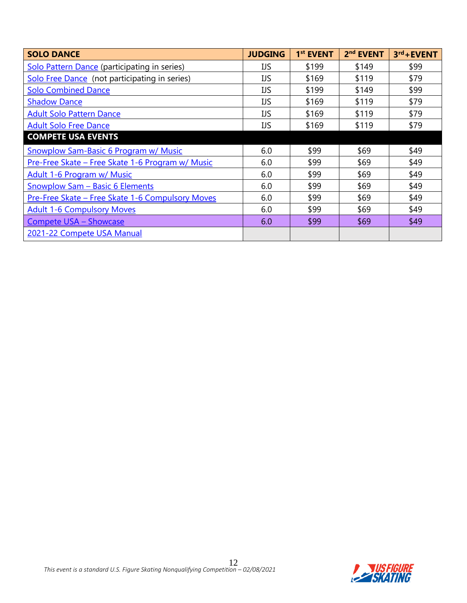| <b>SOLO DANCE</b>                                | <b>JUDGING</b> | 1 <sup>st</sup> EVENT | 2 <sup>nd</sup> EVENT | $3rd +$ EVENT |
|--------------------------------------------------|----------------|-----------------------|-----------------------|---------------|
| Solo Pattern Dance (participating in series)     | IJS            | \$199                 | \$149                 | \$99          |
| Solo Free Dance (not participating in series)    | IJS            | \$169                 | \$119                 | \$79          |
| <b>Solo Combined Dance</b>                       | <b>IJS</b>     | \$199                 | \$149                 | \$99          |
| <b>Shadow Dance</b>                              | IJS            | \$169                 | \$119                 | \$79          |
| Adult Solo Pattern Dance                         | IJS            | \$169                 | \$119                 | \$79          |
| <b>Adult Solo Free Dance</b>                     | IJS            | \$169                 | \$119                 | \$79          |
| <b>COMPETE USA EVENTS</b>                        |                |                       |                       |               |
| <b>Snowplow Sam-Basic 6 Program w/ Music</b>     | 6.0            | \$99                  | \$69                  | \$49          |
| Pre-Free Skate - Free Skate 1-6 Program w/ Music | 6.0            | \$99                  | \$69                  | \$49          |
| <b>Adult 1-6 Program w/ Music</b>                | 6.0            | \$99                  | \$69                  | \$49          |
| Snowplow Sam - Basic 6 Elements                  | 6.0            | \$99                  | \$69                  | \$49          |
| Pre-Free Skate - Free Skate 1-6 Compulsory Moves | 6.0            | \$99                  | \$69                  | \$49          |
| <b>Adult 1-6 Compulsory Moves</b>                | 6.0            | \$99                  | \$69                  | \$49          |
| <b>Compete USA - Showcase</b>                    | 6.0            | \$99                  | \$69                  | \$49          |
| 2021-22 Compete USA Manual                       |                |                       |                       |               |